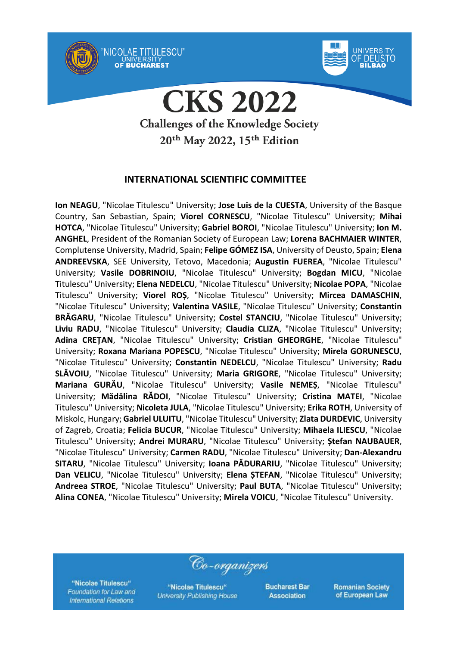

'NICOLAE TITULESCU"

OF BUCHAREST



**CKS 2022 Challenges of the Knowledge Society** 20<sup>th</sup> May 2022, 15<sup>th</sup> Edition

### **INTERNATIONAL SCIENTIFIC COMMITTEE**

**Ion NEAGU**, "Nicolae Titulescu" University; **Jose Luis de la CUESTA**, University of the Basque Country, San Sebastian, Spain; **Viorel CORNESCU**, "Nicolae Titulescu" University; **Mihai HOTCA**, "Nicolae Titulescu" University; **Gabriel BOROI**, "Nicolae Titulescu" University; **Ion M. ANGHEL**, President of the Romanian Society of European Law; **Lorena BACHMAIER WINTER**, Complutense University, Madrid, Spain; **Felipe GÓMEZ ISA**, University of Deusto, Spain; **Elena ANDREEVSKA**, SEE University, Tetovo, Macedonia; **Augustin FUEREA**, "Nicolae Titulescu" University; **Vasile DOBRINOIU**, "Nicolae Titulescu" University; **Bogdan MICU**, "Nicolae Titulescu" University; **Elena NEDELCU**, "Nicolae Titulescu" University; **Nicolae POPA**, "Nicolae Titulescu" University; **Viorel ROȘ**, "Nicolae Titulescu" University; **Mircea DAMASCHIN**, "Nicolae Titulescu" University; **Valentina VASILE**, "Nicolae Titulescu" University; **Constantin BRĂGARU**, "Nicolae Titulescu" University; **Costel STANCIU**, "Nicolae Titulescu" University; **Liviu RADU**, "Nicolae Titulescu" University; **Claudia CLIZA**, "Nicolae Titulescu" University; **Adina CREȚAN**, "Nicolae Titulescu" University; **Cristian GHEORGHE**, "Nicolae Titulescu" University; **Roxana Mariana POPESCU**, "Nicolae Titulescu" University; **Mirela GORUNESCU**, "Nicolae Titulescu" University; **Constantin NEDELCU**, "Nicolae Titulescu" University; **Radu SLĂVOIU**, "Nicolae Titulescu" University; **Maria GRIGORE**, "Nicolae Titulescu" University; **Mariana GURĂU**, "Nicolae Titulescu" University; **Vasile NEMEȘ**, "Nicolae Titulescu" University; **Mădălina RĂDOI**, "Nicolae Titulescu" University; **Cristina MATEI**, "Nicolae Titulescu" University; **Nicoleta JULA**, "Nicolae Titulescu" University; **Erika ROTH**, University of Miskolc, Hungary; **Gabriel ULUITU**, "Nicolae Titulescu" University; **Zlata DURDEVIC**, University of Zagreb, Croatia; **Felicia BUCUR**, "Nicolae Titulescu" University; **Mihaela ILIESCU**, "Nicolae Titulescu" University; **Andrei MURARU**, "Nicolae Titulescu" University; **Ștefan NAUBAUER**, "Nicolae Titulescu" University; **Carmen RADU**, "Nicolae Titulescu" University; **Dan-Alexandru SITARU**, "Nicolae Titulescu" University; **Ioana PĂDURARIU**, "Nicolae Titulescu" University; **Dan VELICU**, "Nicolae Titulescu" University; **Elena ȘTEFAN**, "Nicolae Titulescu" University; **Andreea STROE**, "Nicolae Titulescu" University; **Paul BUTA**, "Nicolae Titulescu" University; **Alina CONEA**, "Nicolae Titulescu" University; **Mirela VOICU**, "Nicolae Titulescu" University.

"Nicolae Titulescu" Foundation for Law and **International Relations** 

"Nicolae Titulescu" **University Publishing House** 

Co-organizers

**Bucharest Bar Association**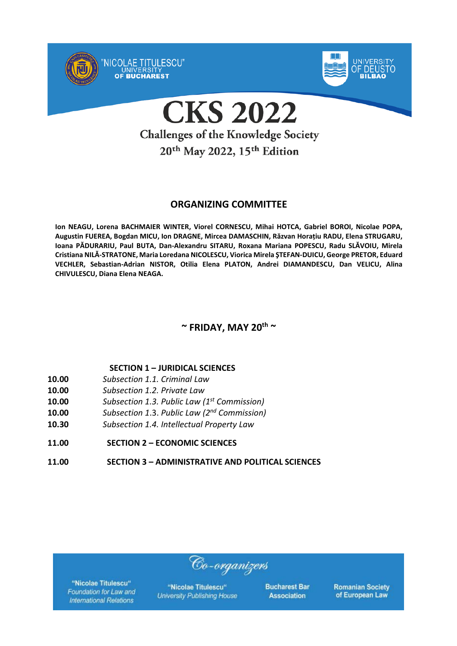

20<sup>th</sup> May 2022, 15<sup>th</sup> Edition

### **ORGANIZING COMMITTEE**

**Ion NEAGU, Lorena BACHMAIER WINTER, Viorel CORNESCU, Mihai HOTCA, Gabriel BOROI, Nicolae POPA, Augustin FUEREA, Bogdan MICU, Ion DRAGNE, Mircea DAMASCHIN, Răzvan Horațiu RADU, Elena STRUGARU, Ioana PĂDURARIU, Paul BUTA, Dan-Alexandru SITARU, Roxana Mariana POPESCU, Radu SLĂVOIU, Mirela Cristiana NILĂ-STRATONE, Maria Loredana NICOLESCU, Viorica Mirela ŞTEFAN-DUICU, George PRETOR, Eduard VECHLER, Sebastian-Adrian NISTOR, Otilia Elena PLATON, Andrei DIAMANDESCU, Dan VELICU, Alina CHIVULESCU, Diana Elena NEAGA.**

### **~ FRIDAY, MAY 20th ~**

### **SECTION 1 – JURIDICAL SCIENCES**

- **10.00** *Subsection 1.1. Criminal Law*
- **10.00** *Subsection 1.2. Private Law*
- **10.00** *Subsection 1.3. Public Law (1st Commission)*
- **10.00** *Subsection 1*.3. *Public Law (2nd Commission)*
- **10.30** *Subsection 1.4. Intellectual Property Law*
- **11.00 SECTION 2 – ECONOMIC SCIENCES**
- **11.00 SECTION 3 – ADMINISTRATIVE AND POLITICAL SCIENCES**

"Nicolae Titulescu" Foundation for Law and **International Relations** 

"Nicolae Titulescu" **University Publishing House** 

Co-organizers

**Bucharest Bar Association**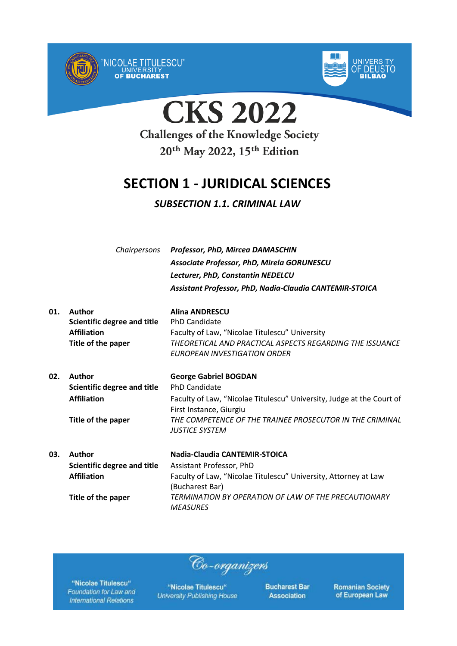



**CKS 2022** 

**Challenges of the Knowledge Society** 20<sup>th</sup> May 2022, 15<sup>th</sup> Edition

## **SECTION 1 - JURIDICAL SCIENCES**

### *SUBSECTION 1.1. CRIMINAL LAW*

*Chairpersons Professor, PhD, Mircea DAMASCHIN Associate Professor, PhD, Mirela GORUNESCU Lecturer, PhD, Constantin NEDELCU Assistant Professor, PhD, Nadia-Claudia CANTEMIR-STOICA*

| 01. | Author<br>Scientific degree and title<br><b>Affiliation</b><br>Title of the paper | <b>Alina ANDRESCU</b><br><b>PhD Candidate</b><br>Faculty of Law, "Nicolae Titulescu" University<br>THEORETICAL AND PRACTICAL ASPECTS REGARDING THE ISSUANCE<br>EUROPEAN INVESTIGATION ORDER |
|-----|-----------------------------------------------------------------------------------|---------------------------------------------------------------------------------------------------------------------------------------------------------------------------------------------|
| 02. | Author                                                                            | <b>George Gabriel BOGDAN</b>                                                                                                                                                                |
|     | <b>Scientific degree and title</b>                                                | <b>PhD Candidate</b>                                                                                                                                                                        |
|     | <b>Affiliation</b>                                                                | Faculty of Law, "Nicolae Titulescu" University, Judge at the Court of                                                                                                                       |
|     |                                                                                   | First Instance, Giurgiu                                                                                                                                                                     |
|     | Title of the paper                                                                | THE COMPETENCE OF THE TRAINEE PROSECUTOR IN THE CRIMINAL                                                                                                                                    |
|     |                                                                                   | <b>JUSTICE SYSTEM</b>                                                                                                                                                                       |
| 03. | Author                                                                            | Nadia-Claudia CANTEMIR-STOICA                                                                                                                                                               |
|     | Scientific degree and title                                                       | Assistant Professor, PhD                                                                                                                                                                    |
|     | <b>Affiliation</b>                                                                | Faculty of Law, "Nicolae Titulescu" University, Attorney at Law                                                                                                                             |
|     |                                                                                   | (Bucharest Bar)                                                                                                                                                                             |
|     | Title of the paper                                                                | TERMINATION BY OPERATION OF LAW OF THE PRECAUTIONARY                                                                                                                                        |
|     |                                                                                   | MEASURES                                                                                                                                                                                    |

Co-organizers

"Nicolae Titulescu" Foundation for Law and **International Relations** 

"Nicolae Titulescu" **University Publishing House**  **Bucharest Bar Association**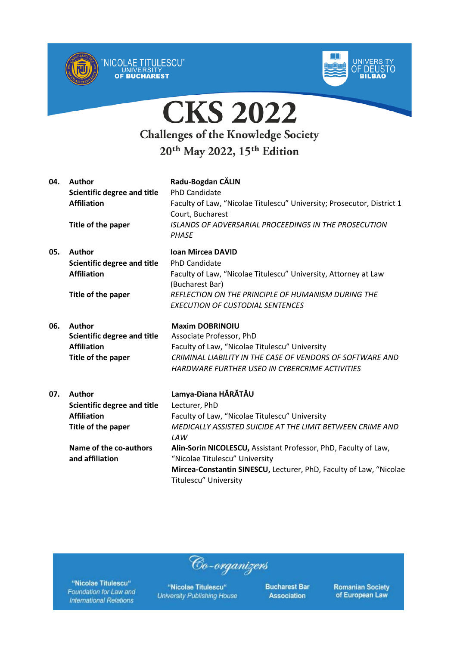



| 04. | <b>Author</b><br>Scientific degree and title<br><b>Affiliation</b><br>Title of the paper                                  | Radu-Bogdan CĂLIN<br><b>PhD Candidate</b><br>Faculty of Law, "Nicolae Titulescu" University; Prosecutor, District 1<br>Court, Bucharest<br><b>ISLANDS OF ADVERSARIAL PROCEEDINGS IN THE PROSECUTION</b><br><b>PHASE</b>                        |
|-----|---------------------------------------------------------------------------------------------------------------------------|------------------------------------------------------------------------------------------------------------------------------------------------------------------------------------------------------------------------------------------------|
| 05. | <b>Author</b><br>Scientific degree and title<br><b>Affiliation</b><br>Title of the paper                                  | <b>Ioan Mircea DAVID</b><br><b>PhD Candidate</b><br>Faculty of Law, "Nicolae Titulescu" University, Attorney at Law<br>(Bucharest Bar)<br><b>REFLECTION ON THE PRINCIPLE OF HUMANISM DURING THE</b><br><b>EXECUTION OF CUSTODIAL SENTENCES</b> |
| 06. | Author<br><b>Scientific degree and title</b><br><b>Affiliation</b><br>Title of the paper                                  | <b>Maxim DOBRINOIU</b><br>Associate Professor, PhD<br>Faculty of Law, "Nicolae Titulescu" University<br>CRIMINAL LIABILITY IN THE CASE OF VENDORS OF SOFTWARE AND<br>HARDWARE FURTHER USED IN CYBERCRIME ACTIVITIES                            |
| 07. | <b>Author</b><br><b>Scientific degree and title</b><br><b>Affiliation</b><br>Title of the paper<br>Name of the co-authors | Lamya-Diana HĂRĂTĂU<br>Lecturer, PhD<br>Faculty of Law, "Nicolae Titulescu" University<br>MEDICALLY ASSISTED SUICIDE AT THE LIMIT BETWEEN CRIME AND<br>LAW<br>Alin-Sorin NICOLESCU, Assistant Professor, PhD, Faculty of Law,                  |
|     | and affiliation                                                                                                           | "Nicolae Titulescu" University<br>Mircea-Constantin SINESCU, Lecturer, PhD, Faculty of Law, "Nicolae<br><b>Titulescu" University</b>                                                                                                           |

"Nicolae Titulescu" Foundation for Law and **International Relations** 

"Nicolae Titulescu" **University Publishing House** 

Co-organizers

**Bucharest Bar Association**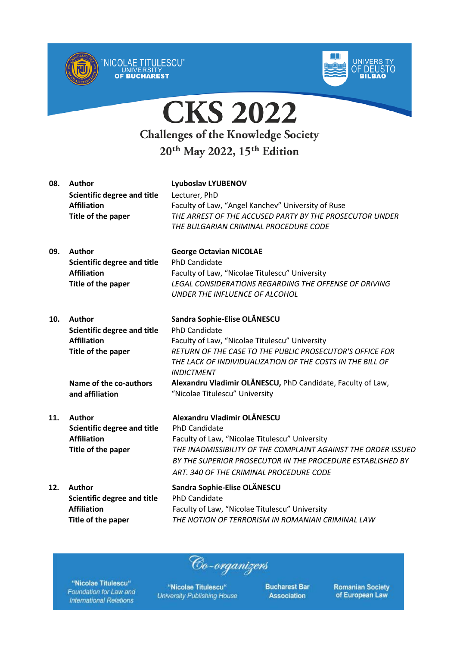



| 08. | Author<br><b>Scientific degree and title</b><br><b>Affiliation</b><br>Title of the paper                                                     | <b>Lyuboslav LYUBENOV</b><br>Lecturer, PhD<br>Faculty of Law, "Angel Kanchev" University of Ruse<br>THE ARREST OF THE ACCUSED PARTY BY THE PROSECUTOR UNDER<br>THE BULGARIAN CRIMINAL PROCEDURE CODE                                                                                                                                           |
|-----|----------------------------------------------------------------------------------------------------------------------------------------------|------------------------------------------------------------------------------------------------------------------------------------------------------------------------------------------------------------------------------------------------------------------------------------------------------------------------------------------------|
| 09. | Author<br><b>Scientific degree and title</b><br><b>Affiliation</b><br>Title of the paper                                                     | <b>George Octavian NICOLAE</b><br><b>PhD Candidate</b><br>Faculty of Law, "Nicolae Titulescu" University<br><b>LEGAL CONSIDERATIONS REGARDING THE OFFENSE OF DRIVING</b><br>UNDER THE INFLUENCE OF ALCOHOL                                                                                                                                     |
| 10. | <b>Author</b><br><b>Scientific degree and title</b><br><b>Affiliation</b><br>Title of the paper<br>Name of the co-authors<br>and affiliation | Sandra Sophie-Elise OLĂNESCU<br>PhD Candidate<br>Faculty of Law, "Nicolae Titulescu" University<br>RETURN OF THE CASE TO THE PUBLIC PROSECUTOR'S OFFICE FOR<br>THE LACK OF INDIVIDUALIZATION OF THE COSTS IN THE BILL OF<br><b>INDICTMENT</b><br>Alexandru Vladimir OLĂNESCU, PhD Candidate, Faculty of Law,<br>"Nicolae Titulescu" University |
| 11. | <b>Author</b><br><b>Scientific degree and title</b><br><b>Affiliation</b><br>Title of the paper                                              | Alexandru Vladimir OLĂNESCU<br><b>PhD Candidate</b><br>Faculty of Law, "Nicolae Titulescu" University<br>THE INADMISSIBILITY OF THE COMPLAINT AGAINST THE ORDER ISSUED<br>BY THE SUPERIOR PROSECUTOR IN THE PROCEDURE ESTABLISHED BY<br>ART. 340 OF THE CRIMINAL PROCEDURE CODE                                                                |
| 12. | <b>Author</b><br><b>Scientific degree and title</b><br><b>Affiliation</b><br>Title of the paper                                              | Sandra Sophie-Elise OLĂNESCU<br><b>PhD Candidate</b><br>Faculty of Law, "Nicolae Titulescu" University<br>THE NOTION OF TERRORISM IN ROMANIAN CRIMINAL LAW                                                                                                                                                                                     |

"Nicolae Titulescu" Foundation for Law and **International Relations** 

"Nicolae Titulescu" **University Publishing House** 

Co-organizers

**Bucharest Bar Association**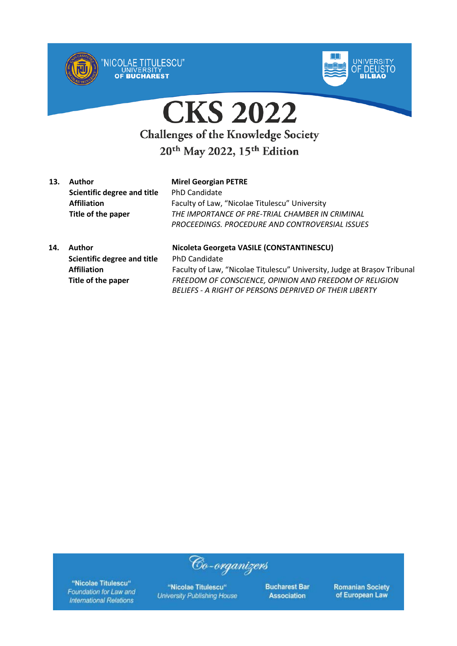



**13. Author Mirel Georgian PETRE Scientific degree and title** PhD Candidate

**Affiliation** Faculty of Law, "Nicolae Titulescu" University **Title of the paper** *THE IMPORTANCE OF PRE-TRIAL CHAMBER IN CRIMINAL PROCEEDINGS. PROCEDURE AND CONTROVERSIAL ISSUES*

**14. Author Nicoleta Georgeta VASILE (CONSTANTINESCU) Scientific degree and title** PhD Candidate **Affiliation** Faculty of Law, "Nicolae Titulescu" University, Judge at Brașov Tribunal **Title of the paper** *FREEDOM OF CONSCIENCE, OPINION AND FREEDOM OF RELIGION BELIEFS - A RIGHT OF PERSONS DEPRIVED OF THEIR LIBERTY*

"Nicolae Titulescu" Foundation for Law and **International Relations** 

"Nicolae Titulescu" **University Publishing House** 

Co-organizers

**Bucharest Bar Association**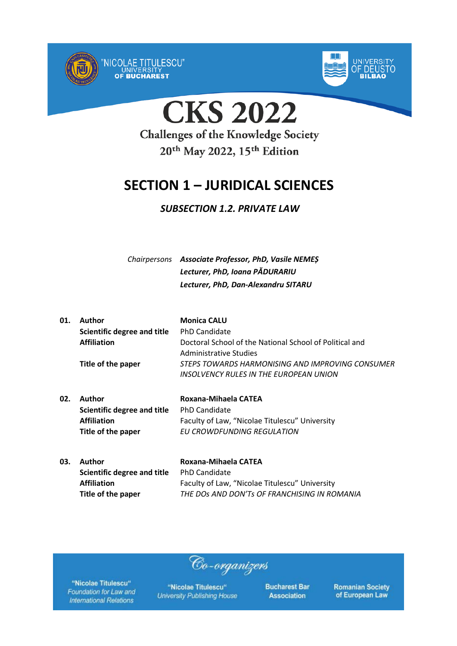



**CKS 2022** 

## **Challenges of the Knowledge Society** 20<sup>th</sup> May 2022, 15<sup>th</sup> Edition

## **SECTION 1 – JURIDICAL SCIENCES**

### *SUBSECTION 1.2. PRIVATE LAW*

*Chairpersons Associate Professor, PhD, Vasile NEMEȘ Lecturer, PhD, Ioana PĂDURARIU Lecturer, PhD, Dan-Alexandru SITARU*

| 01. | Author                      | <b>Monica CALU</b>                                      |
|-----|-----------------------------|---------------------------------------------------------|
|     | Scientific degree and title | <b>PhD Candidate</b>                                    |
|     | <b>Affiliation</b>          | Doctoral School of the National School of Political and |
|     |                             | Administrative Studies                                  |
|     | Title of the paper          | STEPS TOWARDS HARMONISING AND IMPROVING CONSUMER        |
|     |                             | INSOLVENCY RULES IN THE EUROPEAN UNION                  |
|     |                             |                                                         |

- **02. Author Roxana-Mihaela CATEA Scientific degree and title** PhD Candidate **Affiliation** Faculty of Law, "Nicolae Titulescu" University **Title of the paper** *EU CROWDFUNDING REGULATION*
- **03. Author Roxana-Mihaela CATEA Scientific degree and title** PhD Candidate **Affiliation** Faculty of Law, "Nicolae Titulescu" University **Title of the paper** *THE DOs AND DON'Ts OF FRANCHISING IN ROMANIA*

Co-organizers

"Nicolae Titulescu" Foundation for Law and **International Relations** 

"Nicolae Titulescu" **University Publishing House**  **Bucharest Bar Association**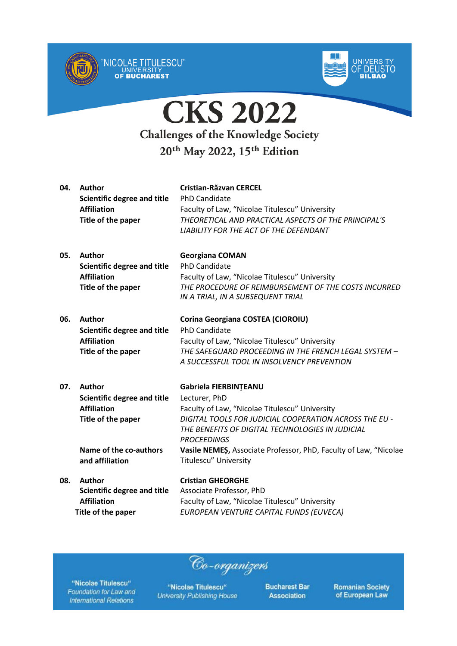



| 04. | Author<br><b>Scientific degree and title</b><br><b>Affiliation</b><br>Title of the paper                                                     | <b>Cristian-Răzvan CERCEL</b><br><b>PhD Candidate</b><br>Faculty of Law, "Nicolae Titulescu" University<br>THEORETICAL AND PRACTICAL ASPECTS OF THE PRINCIPAL'S<br><b>LIABILITY FOR THE ACT OF THE DEFENDANT</b>                                                                                                          |
|-----|----------------------------------------------------------------------------------------------------------------------------------------------|---------------------------------------------------------------------------------------------------------------------------------------------------------------------------------------------------------------------------------------------------------------------------------------------------------------------------|
| 05. | <b>Author</b><br><b>Scientific degree and title</b><br><b>Affiliation</b><br>Title of the paper                                              | <b>Georgiana COMAN</b><br><b>PhD Candidate</b><br>Faculty of Law, "Nicolae Titulescu" University<br>THE PROCEDURE OF REIMBURSEMENT OF THE COSTS INCURRED<br>IN A TRIAL, IN A SUBSEQUENT TRIAL                                                                                                                             |
| 06. | Author<br><b>Scientific degree and title</b><br><b>Affiliation</b><br>Title of the paper                                                     | Corina Georgiana COSTEA (CIOROIU)<br><b>PhD Candidate</b><br>Faculty of Law, "Nicolae Titulescu" University<br>THE SAFEGUARD PROCEEDING IN THE FRENCH LEGAL SYSTEM -<br>A SUCCESSFUL TOOL IN INSOLVENCY PREVENTION                                                                                                        |
| 07. | <b>Author</b><br><b>Scientific degree and title</b><br><b>Affiliation</b><br>Title of the paper<br>Name of the co-authors<br>and affiliation | Gabriela FIERBINTEANU<br>Lecturer, PhD<br>Faculty of Law, "Nicolae Titulescu" University<br>DIGITAL TOOLS FOR JUDICIAL COOPERATION ACROSS THE EU -<br>THE BENEFITS OF DIGITAL TECHNOLOGIES IN JUDICIAL<br><b>PROCEEDINGS</b><br>Vasile NEMES, Associate Professor, PhD, Faculty of Law, "Nicolae<br>Titulescu" University |
| 08. | <b>Author</b><br><b>Scientific degree and title</b><br><b>Affiliation</b><br>Title of the paper                                              | <b>Cristian GHEORGHE</b><br>Associate Professor, PhD<br>Faculty of Law, "Nicolae Titulescu" University<br>EUROPEAN VENTURE CAPITAL FUNDS (EUVECA)                                                                                                                                                                         |

"Nicolae Titulescu" Foundation for Law and **International Relations** 

"Nicolae Titulescu" **University Publishing House** 

Co-organizers

**Bucharest Bar Association**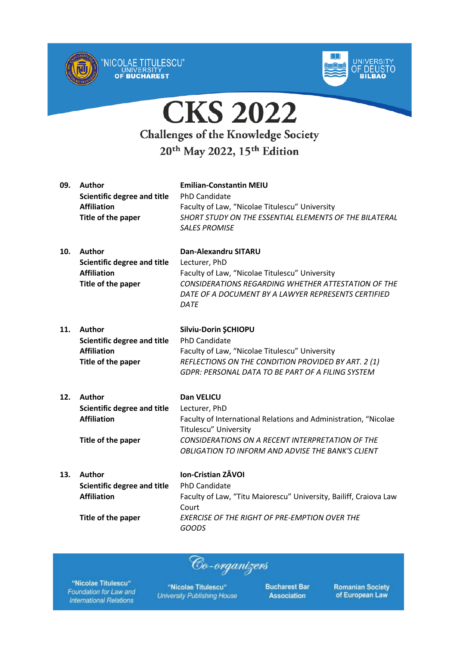



| 09. | <b>Author</b><br><b>Scientific degree and title</b><br><b>Affiliation</b><br>Title of the paper | <b>Emilian-Constantin MEIU</b><br>PhD Candidate<br>Faculty of Law, "Nicolae Titulescu" University<br>SHORT STUDY ON THE ESSENTIAL ELEMENTS OF THE BILATERAL<br><b>SALES PROMISE</b>                                                            |
|-----|-------------------------------------------------------------------------------------------------|------------------------------------------------------------------------------------------------------------------------------------------------------------------------------------------------------------------------------------------------|
| 10. | <b>Author</b><br><b>Scientific degree and title</b><br><b>Affiliation</b><br>Title of the paper | <b>Dan-Alexandru SITARU</b><br>Lecturer, PhD<br>Faculty of Law, "Nicolae Titulescu" University<br><b>CONSIDERATIONS REGARDING WHETHER ATTESTATION OF THE</b><br>DATE OF A DOCUMENT BY A LAWYER REPRESENTS CERTIFIED<br><b>DATE</b>             |
| 11. | <b>Author</b><br><b>Scientific degree and title</b><br><b>Affiliation</b><br>Title of the paper | Silviu-Dorin ŞCHIOPU<br><b>PhD Candidate</b><br>Faculty of Law, "Nicolae Titulescu" University<br>REFLECTIONS ON THE CONDITION PROVIDED BY ART. 2 (1)<br><b>GDPR: PERSONAL DATA TO BE PART OF A FILING SYSTEM</b>                              |
| 12. | <b>Author</b><br><b>Scientific degree and title</b><br><b>Affiliation</b><br>Title of the paper | <b>Dan VELICU</b><br>Lecturer, PhD<br>Faculty of International Relations and Administration, "Nicolae<br>Titulescu" University<br>CONSIDERATIONS ON A RECENT INTERPRETATION OF THE<br><b>OBLIGATION TO INFORM AND ADVISE THE BANK'S CLIENT</b> |
| 13. | <b>Author</b><br><b>Scientific degree and title</b><br><b>Affiliation</b><br>Title of the paper | Ion-Cristian ZĂVOI<br><b>PhD Candidate</b><br>Faculty of Law, "Titu Maiorescu" University, Bailiff, Craiova Law<br>Court<br>EXERCISE OF THE RIGHT OF PRE-EMPTION OVER THE<br><b>GOODS</b>                                                      |

Co-organizers

"Nicolae Titulescu" Foundation for Law and **International Relations** 

"Nicolae Titulescu" **University Publishing House**  **Bucharest Bar Association**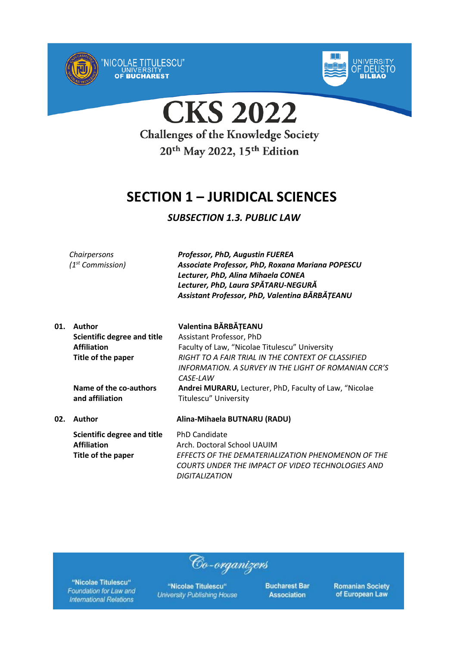



**CKS 2022 Challenges of the Knowledge Society** 20<sup>th</sup> May 2022, 15<sup>th</sup> Edition

## **SECTION 1 – JURIDICAL SCIENCES**

### *SUBSECTION 1.3. PUBLIC LAW*

*Chairpersons (1st Commission)* *Professor, PhD, Augustin FUEREA Associate Professor, PhD, Roxana Mariana POPESCU Lecturer, PhD, Alina Mihaela CONEA Lecturer, PhD, Laura SPĂTARU-NEGURĂ Assistant Professor, PhD, Valentina BĂRBĂȚEANU*

| 01. | Author                             | Valentina BĂRBĂȚEANU                                   |
|-----|------------------------------------|--------------------------------------------------------|
|     | <b>Scientific degree and title</b> | Assistant Professor, PhD                               |
|     | <b>Affiliation</b>                 | Faculty of Law, "Nicolae Titulescu" University         |
|     | Title of the paper                 | RIGHT TO A FAIR TRIAL IN THE CONTEXT OF CLASSIFIED     |
|     |                                    | INFORMATION. A SURVEY IN THE LIGHT OF ROMANIAN CCR'S   |
|     |                                    | CASE-LAW                                               |
|     | Name of the co-authors             | Andrei MURARU, Lecturer, PhD, Faculty of Law, "Nicolae |
|     | and affiliation                    | <b>Titulescu" University</b>                           |
| 02. | Author                             | Alina-Mihaela BUTNARU (RADU)                           |
|     | Scientific degree and title        | <b>PhD Candidate</b>                                   |
|     | <b>Affiliation</b>                 | Arch. Doctoral School UAUIM                            |
|     | Title of the paper                 | EFFECTS OF THE DEMATERIALIZATION PHENOMENON OF THE     |
|     |                                    | COURTS UNDER THE IMPACT OF VIDEO TECHNOLOGIES AND      |
|     |                                    | DIGITALIZATION                                         |

"Nicolae Titulescu" Foundation for Law and **International Relations** 

"Nicolae Titulescu" **University Publishing House** 

Co-organizers

**Bucharest Bar Association**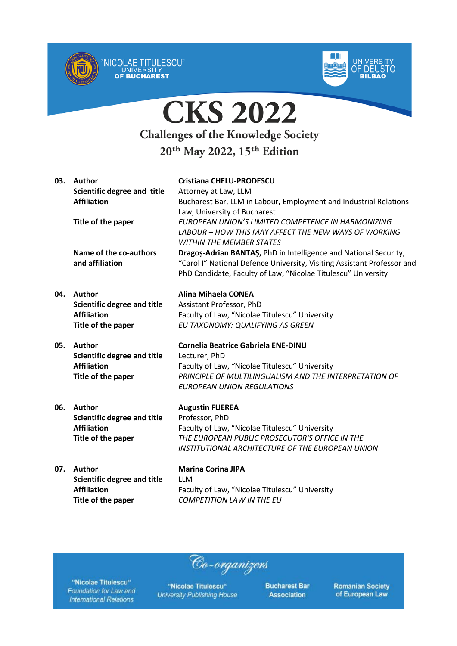



| 03. | Author<br>Scientific degree and title<br><b>Affiliation</b> | <b>Cristiana CHELU-PRODESCU</b><br>Attorney at Law, LLM<br>Bucharest Bar, LLM in Labour, Employment and Industrial Relations<br>Law, University of Bucharest.                                                |
|-----|-------------------------------------------------------------|--------------------------------------------------------------------------------------------------------------------------------------------------------------------------------------------------------------|
|     | Title of the paper                                          | EUROPEAN UNION'S LIMITED COMPETENCE IN HARMONIZING<br>LABOUR – HOW THIS MAY AFFECT THE NEW WAYS OF WORKING<br><b>WITHIN THE MEMBER STATES</b>                                                                |
|     | Name of the co-authors<br>and affiliation                   | Dragos-Adrian BANTAS, PhD in Intelligence and National Security,<br>"Carol I" National Defence University, Visiting Assistant Professor and<br>PhD Candidate, Faculty of Law, "Nicolae Titulescu" University |
| 04. | Author                                                      | Alina Mihaela CONEA                                                                                                                                                                                          |
|     | Scientific degree and title                                 | Assistant Professor, PhD                                                                                                                                                                                     |
|     | <b>Affiliation</b>                                          | Faculty of Law, "Nicolae Titulescu" University                                                                                                                                                               |
|     | Title of the paper                                          | EU TAXONOMY: QUALIFYING AS GREEN                                                                                                                                                                             |
| 05. | <b>Author</b>                                               | <b>Cornelia Beatrice Gabriela ENE-DINU</b>                                                                                                                                                                   |
|     | <b>Scientific degree and title</b>                          | Lecturer, PhD                                                                                                                                                                                                |
|     | <b>Affiliation</b>                                          | Faculty of Law, "Nicolae Titulescu" University                                                                                                                                                               |
|     | Title of the paper                                          | PRINCIPLE OF MULTILINGUALISM AND THE INTERPRETATION OF                                                                                                                                                       |
|     |                                                             | <b>EUROPEAN UNION REGULATIONS</b>                                                                                                                                                                            |
| 06. | Author                                                      | <b>Augustin FUEREA</b>                                                                                                                                                                                       |
|     | <b>Scientific degree and title</b>                          | Professor, PhD                                                                                                                                                                                               |
|     | <b>Affiliation</b>                                          | Faculty of Law, "Nicolae Titulescu" University                                                                                                                                                               |
|     | Title of the paper                                          | THE EUROPEAN PUBLIC PROSECUTOR'S OFFICE IN THE                                                                                                                                                               |
|     |                                                             | INSTITUTIONAL ARCHITECTURE OF THE EUROPEAN UNION                                                                                                                                                             |
| 07. | <b>Author</b>                                               | <b>Marina Corina JIPA</b>                                                                                                                                                                                    |
|     | <b>Scientific degree and title</b>                          | <b>LLM</b>                                                                                                                                                                                                   |
|     | <b>Affiliation</b>                                          | Faculty of Law, "Nicolae Titulescu" University                                                                                                                                                               |
|     | Title of the paper                                          | <b>COMPETITION LAW IN THE EU</b>                                                                                                                                                                             |
|     |                                                             |                                                                                                                                                                                                              |

"Nicolae Titulescu" Foundation for Law and **International Relations** 

"Nicolae Titulescu" **University Publishing House** 

Co-organizers

**Bucharest Bar Association**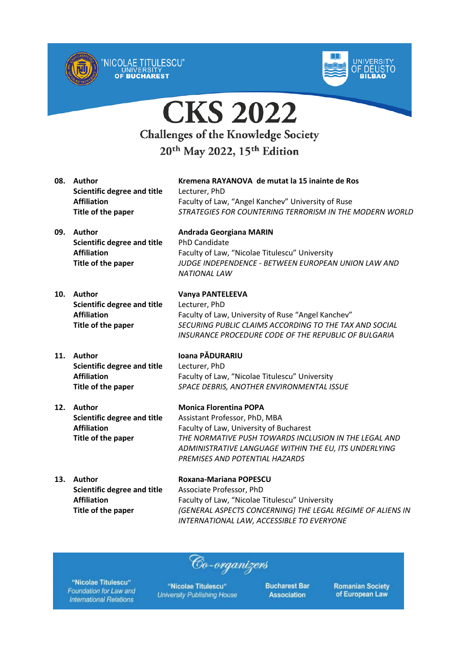





20th May 2022, 15th Edition

**Scientific degree and title** Lecturer, PhD

UNIVERSITY<br>OF BUCHAREST

**08. Author Kremena RAYANOVA de mutat la 15 inainte de Ros Affiliation** Faculty of Law, "Angel Kanchev" University of Ruse **Title of the paper** *STRATEGIES FOR COUNTERING TERRORISM IN THE MODERN WORLD*

- **09. Author Andrada Georgiana MARIN Scientific degree and title** PhD Candidate **Affiliation** Faculty of Law, "Nicolae Titulescu" University **Title of the paper** *JUDGE INDEPENDENCE - BETWEEN EUROPEAN UNION LAW AND*
- **10. Author Vanya PANTELEEVA Scientific degree and title** Lecturer, PhD

*NATIONAL LAW* **Affiliation** Faculty of Law, University of Ruse "Angel Kanchev"

**Title of the paper** *SECURING PUBLIC CLAIMS ACCORDING TO THE TAX AND SOCIAL INSURANCE PROCEDURE CODE OF THE REPUBLIC OF BULGARIA*

**11. Author Ioana PĂDURARIU Scientific degree and title** Lecturer, PhD **Affiliation** Faculty of Law, "Nicolae Titulescu" University **Title of the paper** *SPACE DEBRIS, ANOTHER ENVIRONMENTAL ISSUE*

**12. Author Monica Florentina POPA**

**Scientific degree and title** Assistant Professor, PhD, MBA **Affiliation** Faculty of Law, University of Bucharest **Title of the paper** *THE NORMATIVE PUSH TOWARDS INCLUSION IN THE LEGAL AND ADMINISTRATIVE LANGUAGE WITHIN THE EU, ITS UNDERLYING PREMISES AND POTENTIAL HAZARDS*

**13. Author Roxana-Mariana POPESCU Scientific degree and title** Associate Professor, PhD **Affiliation** Faculty of Law, "Nicolae Titulescu" University **Title of the paper** *(GENERAL ASPECTS CONCERNING) THE LEGAL REGIME OF ALIENS IN INTERNATIONAL LAW, ACCESSIBLE TO EVERYONE*

Co-organizers

"Nicolae Titulescu" Foundation for Law and **International Relations** 

"Nicolae Titulescu" **University Publishing House**  **Bucharest Bar Association**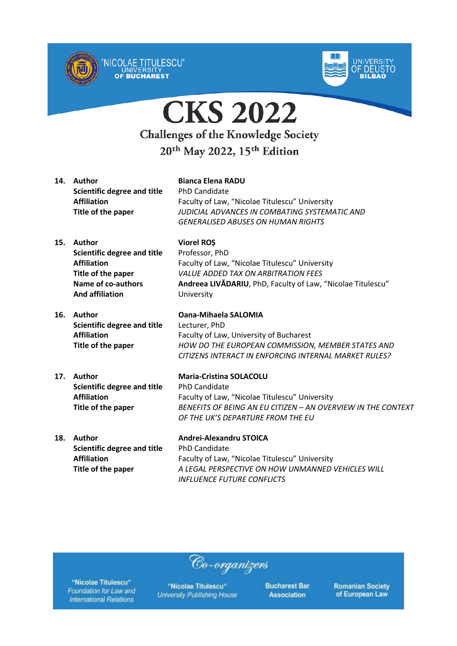



**CKS 2022 Challenges of the Knowledge Society** 

20th May 2022, 15th Edition

**14. Author Bianca Elena RADU Scientific degree and title** PhD Candidate

UNIVERSITY<br>**OF BUCHAREST** 

**Affiliation** Faculty of Law, "Nicolae Titulescu" University **Title of the paper** *JUDICIAL ADVANCES IN COMBATING SYSTEMATIC AND GENERALISED ABUSES ON HUMAN RIGHTS*

*VALUE ADDED TAX ON ARBITRATION FEES*

- **15. Author Viorel ROȘ Scientific degree and title** Professor, PhD **Affiliation** Faculty of Law, "Nicolae Titulescu" University **Title of the paper Name of co-authors And affiliation**
- **16. Author Oana-Mihaela SALOMIA Scientific degree and title** Lecturer, PhD

# **17. Author Maria-Cristina SOLACOLU Scientific degree and title** PhD Candidate

**18. Author Andrei-Alexandru STOICA Scientific degree and title** PhD Candidate

University

**Affiliation** Faculty of Law, University of Bucharest **Title of the paper** *HOW DO THE EUROPEAN COMMISSION, MEMBER STATES AND CITIZENS INTERACT IN ENFORCING INTERNAL MARKET RULES?*

**Andreea LIVĂDARIU**, PhD, Faculty of Law, "Nicolae Titulescu"

**Affiliation** Faculty of Law, "Nicolae Titulescu" University **Title of the paper** *BENEFITS OF BEING AN EU CITIZEN – AN OVERVIEW IN THE CONTEXT OF THE UK'S DEPARTURE FROM THE EU*

**Affiliation** Faculty of Law, "Nicolae Titulescu" University **Title of the paper** *A LEGAL PERSPECTIVE ON HOW UNMANNED VEHICLES WILL INFLUENCE FUTURE CONFLICTS*

Co-organizers

"Nicolae Titulescu" Foundation for Law and **International Relations** 

"Nicolae Titulescu" **University Publishing House**  **Bucharest Bar Association**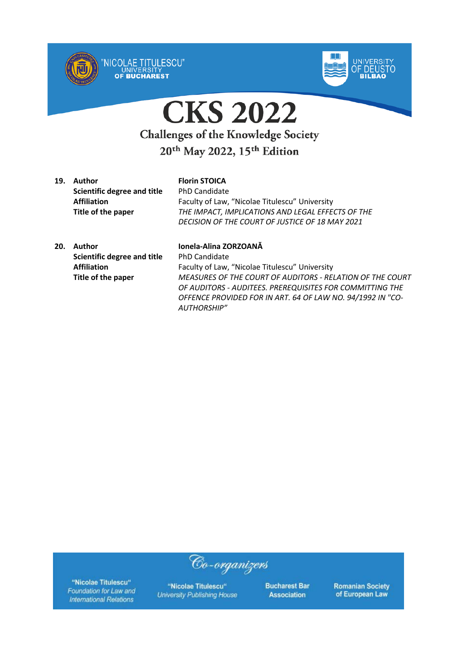



**CKS 2022 Challenges of the Knowledge Society** 

## 20<sup>th</sup> May 2022, 15<sup>th</sup> Edition

**19. Author Florin STOICA Scientific degree and title** PhD Candidate

**Affiliation** Faculty of Law, "Nicolae Titulescu" University **Title of the paper** *THE IMPACT, IMPLICATIONS AND LEGAL EFFECTS OF THE DECISION OF THE COURT OF JUSTICE OF 18 MAY 2021*

**20. Author Ionela-Alina ZORZOANĂ Scientific degree and title** PhD Candidate

**Affiliation** Faculty of Law, "Nicolae Titulescu" University **Title of the paper** *MEASURES OF THE COURT OF AUDITORS - RELATION OF THE COURT OF AUDITORS - AUDITEES. PREREQUISITES FOR COMMITTING THE OFFENCE PROVIDED FOR IN ART. 64 OF LAW NO. 94/1992 IN "CO-AUTHORSHIP"*

"Nicolae Titulescu" Foundation for Law and **International Relations** 

"Nicolae Titulescu" **University Publishing House** 

Co-organizers

**Bucharest Bar Association**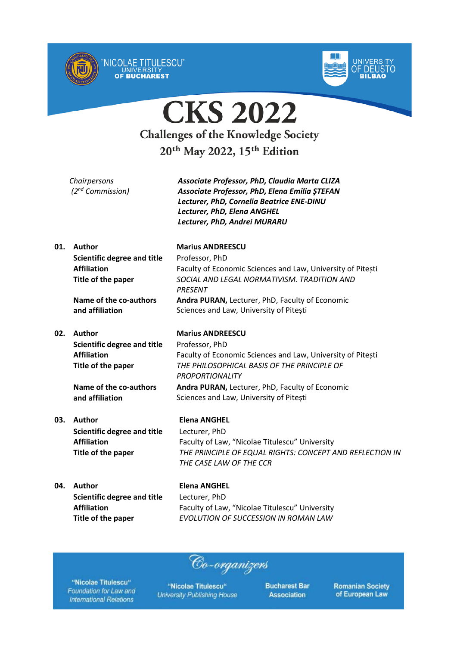



**CKS 2022 Challenges of the Knowledge Society** 20<sup>th</sup> May 2022, 15<sup>th</sup> Edition

|     | Chairpersons<br>(2 <sup>nd</sup> Commission) | Associate Professor, PhD, Claudia Marta CLIZA<br>Associate Professor, PhD, Elena Emilia ȘTEFAN<br>Lecturer, PhD, Cornelia Beatrice ENE-DINU<br>Lecturer, PhD, Elena ANGHEL<br>Lecturer, PhD, Andrei MURARU |
|-----|----------------------------------------------|------------------------------------------------------------------------------------------------------------------------------------------------------------------------------------------------------------|
| 01. | Author                                       | <b>Marius ANDREESCU</b>                                                                                                                                                                                    |
|     | Scientific degree and title                  | Professor, PhD                                                                                                                                                                                             |
|     | <b>Affiliation</b>                           | Faculty of Economic Sciences and Law, University of Pitești                                                                                                                                                |
|     | Title of the paper                           | SOCIAL AND LEGAL NORMATIVISM. TRADITION AND<br><b>PRESENT</b>                                                                                                                                              |
|     | Name of the co-authors                       | Andra PURAN, Lecturer, PhD, Faculty of Economic                                                                                                                                                            |
|     | and affiliation                              | Sciences and Law, University of Pitești                                                                                                                                                                    |
| 02. | Author                                       | <b>Marius ANDREESCU</b>                                                                                                                                                                                    |

**Scientific degree and title** Professor, PhD **Affiliation** Faculty of Economic Sciences and Law, University of Pitești **Title of the paper** *THE PHILOSOPHICAL BASIS OF THE PRINCIPLE OF PROPORTIONALITY*

> **Andra PURAN,** Lecturer, PhD, Faculty of Economic Sciences and Law, University of Pitești

# **03. Author Elena ANGHEL Scientific degree and title** Lecturer, PhD

**and affiliation**

**Name of the co-authors**

**Affiliation** Faculty of Law, "Nicolae Titulescu" University **Title of the paper** *THE PRINCIPLE OF EQUAL RIGHTS: CONCEPT AND REFLECTION IN THE CASE LAW OF THE CCR*

**04. Author Elena ANGHEL Scientific degree and title** Lecturer, PhD

**Affiliation** Faculty of Law, "Nicolae Titulescu" University **Title of the paper** *EVOLUTION OF SUCCESSION IN ROMAN LAW*

"Nicolae Titulescu" Foundation for Law and **International Relations** 

"Nicolae Titulescu" **University Publishing House** 

Co-organizers

**Bucharest Bar Association**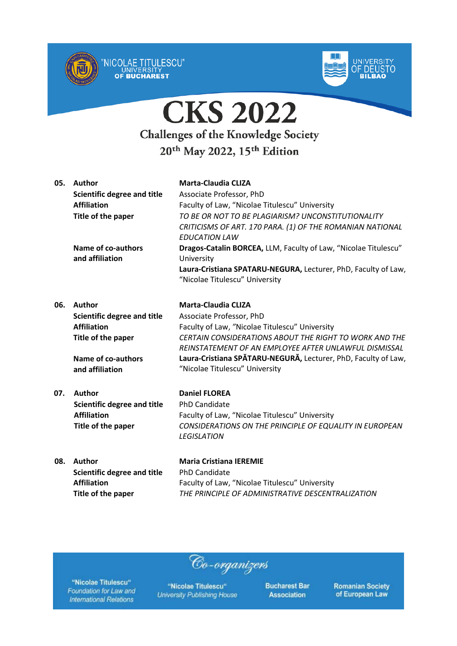



| 05. | Author                             | Marta-Claudia CLIZA                                             |
|-----|------------------------------------|-----------------------------------------------------------------|
|     | <b>Scientific degree and title</b> | Associate Professor, PhD                                        |
|     | <b>Affiliation</b>                 | Faculty of Law, "Nicolae Titulescu" University                  |
|     | Title of the paper                 | TO BE OR NOT TO BE PLAGIARISM? UNCONSTITUTIONALITY              |
|     |                                    | CRITICISMS OF ART. 170 PARA. (1) OF THE ROMANIAN NATIONAL       |
|     |                                    | <b>EDUCATION LAW</b>                                            |
|     | Name of co-authors                 | Dragos-Catalin BORCEA, LLM, Faculty of Law, "Nicolae Titulescu" |
|     | and affiliation                    | University                                                      |
|     |                                    | Laura-Cristiana SPATARU-NEGURA, Lecturer, PhD, Faculty of Law,  |
|     |                                    | "Nicolae Titulescu" University                                  |
|     |                                    |                                                                 |

| <b>Author</b>               | <b>Marta-Claudia CLIZA</b>                                     |
|-----------------------------|----------------------------------------------------------------|
| Scientific degree and title | Associate Professor, PhD                                       |
| <b>Affiliation</b>          | Faculty of Law, "Nicolae Titulescu" University                 |
| Title of the paper          | <b>CERTAIN CONSIDERATIONS ABOUT THE RIGHT TO WORK AND THE</b>  |
|                             | REINSTATEMENT OF AN EMPLOYEE AFTER UNLAWFUL DISMISSAL          |
| Name of co-authors          | Laura-Cristiana SPĂTARU-NEGURĂ, Lecturer, PhD, Faculty of Law, |
| and affiliation             | "Nicolae Titulescu" University                                 |
|                             |                                                                |

**07. Author Daniel FLOREA Scientific degree and title** PhD Candidate

**Affiliation** Faculty of Law, "Nicolae Titulescu" University **Title of the paper** *CONSIDERATIONS ON THE PRINCIPLE OF EQUALITY IN EUROPEAN LEGISLATION*

**08. Author Maria Cristiana IEREMIE Scientific degree and title** PhD Candidate

**Affiliation** Faculty of Law, "Nicolae Titulescu" University **Title of the paper** *THE PRINCIPLE OF ADMINISTRATIVE DESCENTRALIZATION*

"Nicolae Titulescu" Foundation for Law and **International Relations** 

"Nicolae Titulescu" **University Publishing House** 

Co-organizers

**Bucharest Bar Association**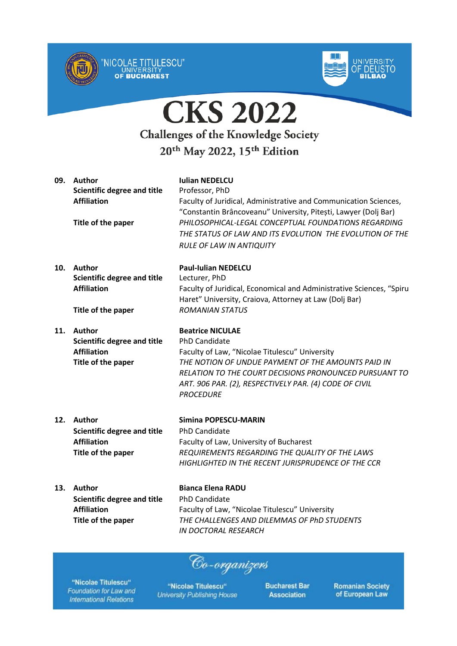



| 09. | Author<br><b>Scientific degree and title</b><br><b>Affiliation</b><br>Title of the paper        | <b>Iulian NEDELCU</b><br>Professor, PhD<br>Faculty of Juridical, Administrative and Communication Sciences,<br>"Constantin Brâncoveanu" University, Pitești, Lawyer (Dolj Bar)<br>PHILOSOPHICAL-LEGAL CONCEPTUAL FOUNDATIONS REGARDING<br>THE STATUS OF LAW AND ITS EVOLUTION THE EVOLUTION OF THE<br><b>RULE OF LAW IN ANTIQUITY</b> |
|-----|-------------------------------------------------------------------------------------------------|---------------------------------------------------------------------------------------------------------------------------------------------------------------------------------------------------------------------------------------------------------------------------------------------------------------------------------------|
| 10. | Author<br><b>Scientific degree and title</b><br><b>Affiliation</b><br>Title of the paper        | <b>Paul-Iulian NEDELCU</b><br>Lecturer, PhD<br>Faculty of Juridical, Economical and Administrative Sciences, "Spiru<br>Haret" University, Craiova, Attorney at Law (Dolj Bar)<br><b>ROMANIAN STATUS</b>                                                                                                                               |
| 11. | <b>Author</b><br><b>Scientific degree and title</b><br><b>Affiliation</b><br>Title of the paper | <b>Beatrice NICULAE</b><br><b>PhD Candidate</b><br>Faculty of Law, "Nicolae Titulescu" University<br>THE NOTION OF UNDUE PAYMENT OF THE AMOUNTS PAID IN<br>RELATION TO THE COURT DECISIONS PRONOUNCED PURSUANT TO<br>ART. 906 PAR. (2), RESPECTIVELY PAR. (4) CODE OF CIVIL<br><b>PROCEDURE</b>                                       |
| 12. | Author<br><b>Scientific degree and title</b><br><b>Affiliation</b><br>Title of the paper        | Simina POPESCU-MARIN<br><b>PhD Candidate</b><br>Faculty of Law, University of Bucharest<br>REQUIREMENTS REGARDING THE QUALITY OF THE LAWS<br>HIGHLIGHTED IN THE RECENT JURISPRUDENCE OF THE CCR                                                                                                                                       |
| 13. | Author<br><b>Scientific degree and title</b><br><b>Affiliation</b><br>Title of the paper        | <b>Bianca Elena RADU</b><br><b>PhD Candidate</b><br>Faculty of Law, "Nicolae Titulescu" University<br>THE CHALLENGES AND DILEMMAS OF PhD STUDENTS<br>IN DOCTORAL RESEARCH                                                                                                                                                             |

"Nicolae Titulescu" Foundation for Law and **International Relations** 

"Nicolae Titulescu" **University Publishing House** 

Co-organizers

**Bucharest Bar Association**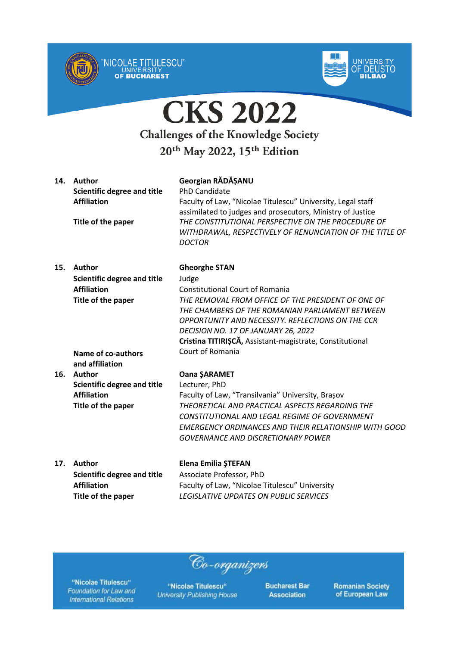



| 14. | Author<br><b>Scientific degree and title</b><br><b>Affiliation</b><br>Title of the paper | Georgian RĂDĂȘANU<br><b>PhD Candidate</b><br>Faculty of Law, "Nicolae Titulescu" University, Legal staff<br>assimilated to judges and prosecutors, Ministry of Justice<br>THE CONSTITUTIONAL PERSPECTIVE ON THE PROCEDURE OF<br>WITHDRAWAL, RESPECTIVELY OF RENUNCIATION OF THE TITLE OF<br><b>DOCTOR</b> |
|-----|------------------------------------------------------------------------------------------|-----------------------------------------------------------------------------------------------------------------------------------------------------------------------------------------------------------------------------------------------------------------------------------------------------------|
|     |                                                                                          |                                                                                                                                                                                                                                                                                                           |
| 15. | Author                                                                                   | <b>Gheorghe STAN</b>                                                                                                                                                                                                                                                                                      |
|     | <b>Scientific degree and title</b>                                                       | Judge                                                                                                                                                                                                                                                                                                     |
|     | <b>Affiliation</b>                                                                       | <b>Constitutional Court of Romania</b>                                                                                                                                                                                                                                                                    |
|     | Title of the paper                                                                       | THE REMOVAL FROM OFFICE OF THE PRESIDENT OF ONE OF<br>THE CHAMBERS OF THE ROMANIAN PARLIAMENT BETWEEN                                                                                                                                                                                                     |
|     |                                                                                          | OPPORTUNITY AND NECESSITY. REFLECTIONS ON THE CCR                                                                                                                                                                                                                                                         |
|     |                                                                                          | DECISION NO. 17 OF JANUARY 26, 2022                                                                                                                                                                                                                                                                       |
|     |                                                                                          | Cristina TITIRIȘCĂ, Assistant-magistrate, Constitutional                                                                                                                                                                                                                                                  |
|     | Name of co-authors                                                                       | Court of Romania                                                                                                                                                                                                                                                                                          |
|     | and affiliation                                                                          |                                                                                                                                                                                                                                                                                                           |
| 16. | <b>Author</b>                                                                            | <b>Oana ŞARAMET</b>                                                                                                                                                                                                                                                                                       |
|     | <b>Scientific degree and title</b>                                                       | Lecturer, PhD                                                                                                                                                                                                                                                                                             |
|     | <b>Affiliation</b>                                                                       | Faculty of Law, "Transilvania" University, Brașov                                                                                                                                                                                                                                                         |
|     | Title of the paper                                                                       | THEORETICAL AND PRACTICAL ASPECTS REGARDING THE                                                                                                                                                                                                                                                           |
|     |                                                                                          | CONSTITUTIONAL AND LEGAL REGIME OF GOVERNMENT                                                                                                                                                                                                                                                             |
|     |                                                                                          | <b>EMERGENCY ORDINANCES AND THEIR RELATIONSHIP WITH GOOD</b>                                                                                                                                                                                                                                              |
|     |                                                                                          | <b>GOVERNANCE AND DISCRETIONARY POWER</b>                                                                                                                                                                                                                                                                 |
| 17. | Author                                                                                   | <b>Elena Emilia ȘTEFAN</b>                                                                                                                                                                                                                                                                                |
|     | <b>Scientific degree and title</b>                                                       | Associate Professor, PhD                                                                                                                                                                                                                                                                                  |
|     | <b>Affiliation</b>                                                                       | Faculty of Law, "Nicolae Titulescu" University                                                                                                                                                                                                                                                            |

LEGISLATIVE UPDATES ON PUBLIC SERVICES

Co-organizers

"Nicolae Titulescu" Foundation for Law and **International Relations** 

Title of the paper

"Nicolae Titulescu" **University Publishing House**  **Bucharest Bar Association**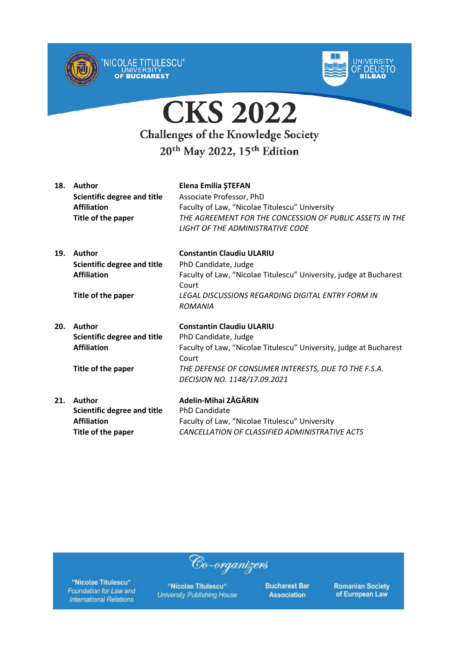



| 18. | Author<br><b>Scientific degree and title</b><br><b>Affiliation</b><br>Title of the paper | Elena Emilia ŞTEFAN<br>Associate Professor, PhD<br>Faculty of Law, "Nicolae Titulescu" University<br>THE AGREEMENT FOR THE CONCESSION OF PUBLIC ASSETS IN THE<br>LIGHT OF THE ADMINISTRATIVE CODE                               |
|-----|------------------------------------------------------------------------------------------|---------------------------------------------------------------------------------------------------------------------------------------------------------------------------------------------------------------------------------|
| 19. | Author<br><b>Scientific degree and title</b><br><b>Affiliation</b>                       | <b>Constantin Claudiu ULARIU</b><br>PhD Candidate, Judge<br>Faculty of Law, "Nicolae Titulescu" University, judge at Bucharest<br>Court                                                                                         |
|     | Title of the paper                                                                       | LEGAL DISCUSSIONS REGARDING DIGITAL ENTRY FORM IN<br><b>ROMANIA</b>                                                                                                                                                             |
| 20. | Author<br><b>Scientific degree and title</b><br><b>Affiliation</b><br>Title of the paper | <b>Constantin Claudiu ULARIU</b><br>PhD Candidate, Judge<br>Faculty of Law, "Nicolae Titulescu" University, judge at Bucharest<br>Court<br>THE DEFENSE OF CONSUMER INTERESTS, DUE TO THE F.S.A.<br>DECISION NO. 1148/17.09.2021 |
| 21. | Author<br><b>Scientific degree and title</b><br><b>Affiliation</b><br>Title of the paper | Adelin-Mihai ZĂGĂRIN<br><b>PhD Candidate</b><br>Faculty of Law, "Nicolae Titulescu" University<br>CANCELLATION OF CLASSIFIED ADMINISTRATIVE ACTS                                                                                |

"Nicolae Titulescu" Foundation for Law and **International Relations** 

"Nicolae Titulescu" **University Publishing House** 

Co-organizers

**Bucharest Bar Association**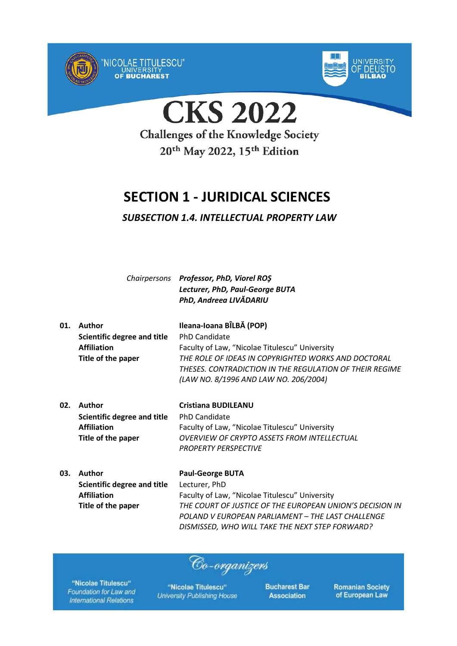



**CKS 2022** 

**Challenges of the Knowledge Society** 20<sup>th</sup> May 2022, 15<sup>th</sup> Edition

## **SECTION 1 - JURIDICAL SCIENCES**

### *SUBSECTION 1.4. INTELLECTUAL PROPERTY LAW*

*Chairpersons Professor, PhD, Viorel ROŞ Lecturer, PhD, Paul-George BUTA PhD, Andreea LIVĂDARIU*

| 01. | Author                      | Ileana-Ioana BÎLBĂ (POP)                                |
|-----|-----------------------------|---------------------------------------------------------|
|     | Scientific degree and title | <b>PhD Candidate</b>                                    |
|     | <b>Affiliation</b>          | Faculty of Law, "Nicolae Titulescu" University          |
|     | Title of the paper          | THE ROLE OF IDEAS IN COPYRIGHTED WORKS AND DOCTORAL     |
|     |                             | THESES. CONTRADICTION IN THE REGULATION OF THEIR REGIME |
|     |                             | (LAW NO. 8/1996 AND LAW NO. 206/2004)                   |
|     |                             |                                                         |

| 02. | Author                      | <b>Cristiana BUDILEANU</b>                     |
|-----|-----------------------------|------------------------------------------------|
|     | Scientific degree and title | PhD Candidate                                  |
|     | <b>Affiliation</b>          | Faculty of Law, "Nicolae Titulescu" University |
|     | Title of the paper          | OVERVIEW OF CRYPTO ASSETS FROM INTELLECTUAL    |
|     |                             | <b>PROPERTY PERSPECTIVE</b>                    |

**03. Author Paul-George BUTA Scientific degree and title** Lecturer, PhD **Affiliation** Faculty of Law, "Nicolae Titulescu" University **Title of the paper** *THE COURT OF JUSTICE OF THE EUROPEAN UNION'S DECISION IN POLAND V EUROPEAN PARLIAMENT – THE LAST CHALLENGE DISMISSED, WHO WILL TAKE THE NEXT STEP FORWARD?*

Co-organizers

"Nicolae Titulescu" Foundation for Law and **International Relations** 

"Nicolae Titulescu" **University Publishing House**  **Bucharest Bar Association**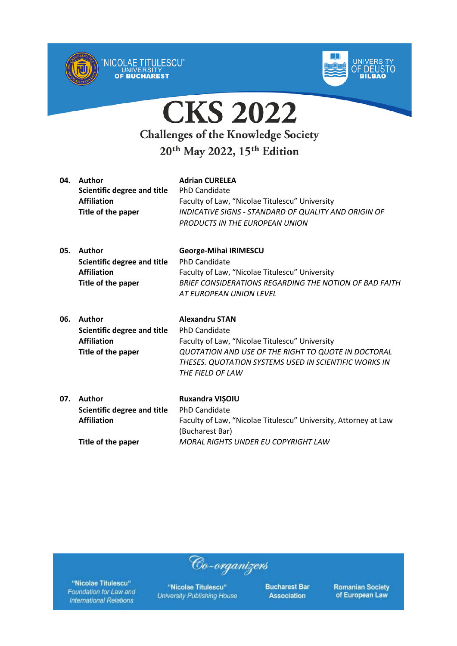



| 04. | Author<br>Scientific degree and title<br><b>Affiliation</b><br>Title of the paper | <b>Adrian CURELEA</b><br><b>PhD Candidate</b><br>Faculty of Law, "Nicolae Titulescu" University<br>INDICATIVE SIGNS - STANDARD OF QUALITY AND ORIGIN OF<br>PRODUCTS IN THE EUROPEAN UNION   |
|-----|-----------------------------------------------------------------------------------|---------------------------------------------------------------------------------------------------------------------------------------------------------------------------------------------|
| 05. | Author<br>Scientific degree and title<br><b>Affiliation</b><br>Title of the paper | <b>George-Mihai IRIMESCU</b><br><b>PhD Candidate</b><br>Faculty of Law, "Nicolae Titulescu" University<br>BRIEF CONSIDERATIONS REGARDING THE NOTION OF BAD FAITH<br>AT FUROPEAN UNION LEVEL |

| 06. | <b>Author</b>               | <b>Alexandru STAN</b>                                 |
|-----|-----------------------------|-------------------------------------------------------|
|     | Scientific degree and title | <b>PhD Candidate</b>                                  |
|     | <b>Affiliation</b>          | Faculty of Law, "Nicolae Titulescu" University        |
|     | Title of the paper          | QUOTATION AND USE OF THE RIGHT TO QUOTE IN DOCTORAL   |
|     |                             | THESES. QUOTATION SYSTEMS USED IN SCIENTIFIC WORKS IN |
|     |                             | THE FIELD OF LAW                                      |
|     |                             |                                                       |

| 07. | Author                      | <b>Ruxandra VISOIU</b>                                          |
|-----|-----------------------------|-----------------------------------------------------------------|
|     | Scientific degree and title | PhD Candidate                                                   |
|     | <b>Affiliation</b>          | Faculty of Law, "Nicolae Titulescu" University, Attorney at Law |
|     |                             | (Bucharest Bar)                                                 |
|     | Title of the paper          | MORAL RIGHTS UNDER EU COPYRIGHT LAW                             |

Co-organizers

"Nicolae Titulescu" Foundation for Law and **International Relations** 

"Nicolae Titulescu" **University Publishing House**  **Bucharest Bar Association**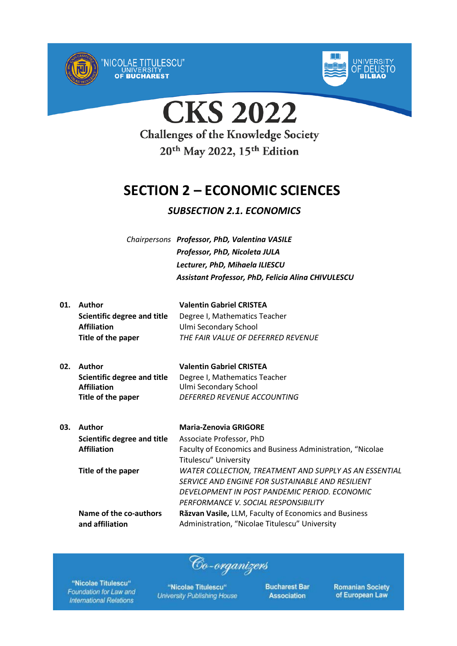



## **SECTION 2 – ECONOMIC SCIENCES**

### *SUBSECTION 2.1. ECONOMICS*

*Chairpersons Professor, PhD, Valentina VASILE Professor, PhD, Nicoleta JULA Lecturer, PhD, Mihaela ILIESCU Assistant Professor, PhD, Felicia Alina CHIVULESCU*

| 01. | Author                      | <b>Valentin Gabriel CRISTEA</b>    |
|-----|-----------------------------|------------------------------------|
|     | Scientific degree and title | Degree I, Mathematics Teacher      |
|     | <b>Affiliation</b>          | Ulmi Secondary School              |
|     | Title of the paper          | THE FAIR VALUE OF DEFERRED REVENUE |
|     |                             |                                    |

| 02. Author                  | <b>Valentin Gabriel CRISTEA</b> |
|-----------------------------|---------------------------------|
| Scientific degree and title | Degree I, Mathematics Teacher   |
| <b>Affiliation</b>          | Ulmi Secondary School           |
| Title of the paper          | DEFERRED REVENUE ACCOUNTING     |

| 03. | <b>Author</b>               | <b>Maria-Zenovia GRIGORE</b>                               |
|-----|-----------------------------|------------------------------------------------------------|
|     | Scientific degree and title | Associate Professor, PhD                                   |
|     | <b>Affiliation</b>          | Faculty of Economics and Business Administration, "Nicolae |
|     |                             | Titulescu" University                                      |
|     | Title of the paper          | WATER COLLECTION, TREATMENT AND SUPPLY AS AN ESSENTIAL     |
|     |                             | SERVICE AND ENGINE FOR SUSTAINABLE AND RESILIENT           |
|     |                             | DEVELOPMENT IN POST PANDEMIC PERIOD. ECONOMIC              |
|     |                             | PERFORMANCE V. SOCIAL RESPONSIBILITY                       |
|     | Name of the co-authors      | Răzvan Vasile, LLM, Faculty of Economics and Business      |
|     | and affiliation             | Administration, "Nicolae Titulescu" University             |

Co-organizers

"Nicolae Titulescu" Foundation for Law and **International Relations** 

"Nicolae Titulescu" **University Publishing House**  **Bucharest Bar Association**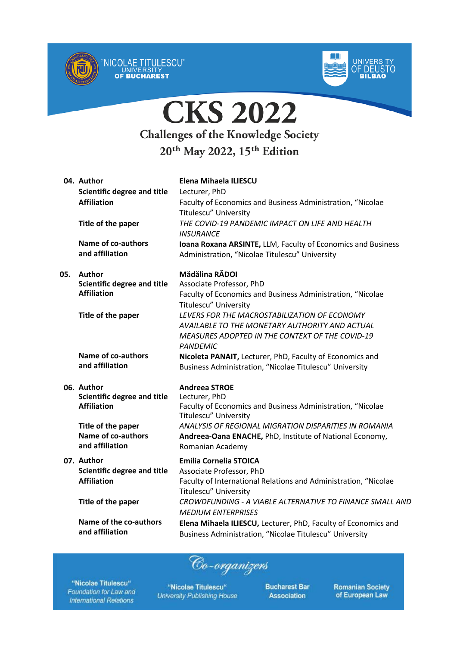



|     | 04. Author                                   | Elena Mihaela ILIESCU                                                                                          |
|-----|----------------------------------------------|----------------------------------------------------------------------------------------------------------------|
|     | <b>Scientific degree and title</b>           | Lecturer, PhD                                                                                                  |
|     | <b>Affiliation</b>                           | Faculty of Economics and Business Administration, "Nicolae                                                     |
|     |                                              | <b>Titulescu" University</b>                                                                                   |
|     | Title of the paper                           | THE COVID-19 PANDEMIC IMPACT ON LIFE AND HEALTH<br><b>INSURANCE</b>                                            |
|     | <b>Name of co-authors</b><br>and affiliation | Ioana Roxana ARSINTE, LLM, Faculty of Economics and Business<br>Administration, "Nicolae Titulescu" University |
| 05. | Author                                       | Mădălina RĂDOI                                                                                                 |
|     | <b>Scientific degree and title</b>           | Associate Professor, PhD                                                                                       |
|     | <b>Affiliation</b>                           | Faculty of Economics and Business Administration, "Nicolae                                                     |
|     |                                              | Titulescu" University                                                                                          |
|     | Title of the paper                           | LEVERS FOR THE MACROSTABILIZATION OF ECONOMY                                                                   |
|     |                                              | AVAILABLE TO THE MONETARY AUTHORITY AND ACTUAL                                                                 |
|     |                                              | <b>MEASURES ADOPTED IN THE CONTEXT OF THE COVID-19</b>                                                         |
|     |                                              | <b>PANDEMIC</b>                                                                                                |
|     | Name of co-authors<br>and affiliation        | Nicoleta PANAIT, Lecturer, PhD, Faculty of Economics and                                                       |
|     |                                              | Business Administration, "Nicolae Titulescu" University                                                        |
|     | 06. Author                                   | <b>Andreea STROE</b>                                                                                           |
|     | <b>Scientific degree and title</b>           | Lecturer, PhD                                                                                                  |
|     | <b>Affiliation</b>                           | Faculty of Economics and Business Administration, "Nicolae<br>Titulescu" University                            |
|     | Title of the paper                           | ANALYSIS OF REGIONAL MIGRATION DISPARITIES IN ROMANIA                                                          |
|     | <b>Name of co-authors</b>                    | Andreea-Oana ENACHE, PhD, Institute of National Economy,                                                       |
|     | and affiliation                              | Romanian Academy                                                                                               |
|     | 07. Author                                   | <b>Emilia Cornelia STOICA</b>                                                                                  |
|     | <b>Scientific degree and title</b>           | Associate Professor, PhD                                                                                       |
|     | <b>Affiliation</b>                           | Faculty of International Relations and Administration, "Nicolae                                                |
|     |                                              | <b>Titulescu" University</b>                                                                                   |
|     | Title of the paper                           | CROWDFUNDING - A VIABLE ALTERNATIVE TO FINANCE SMALL AND                                                       |
|     |                                              | <b>MEDIUM ENTERPRISES</b>                                                                                      |
|     | Name of the co-authors                       | Elena Mihaela ILIESCU, Lecturer, PhD, Faculty of Economics and                                                 |
|     | and affiliation                              | Business Administration, "Nicolae Titulescu" University                                                        |
|     |                                              |                                                                                                                |

Co-organizers

"Nicolae Titulescu" Foundation for Law and **International Relations** 

"Nicolae Titulescu" **University Publishing House**  **Bucharest Bar Association**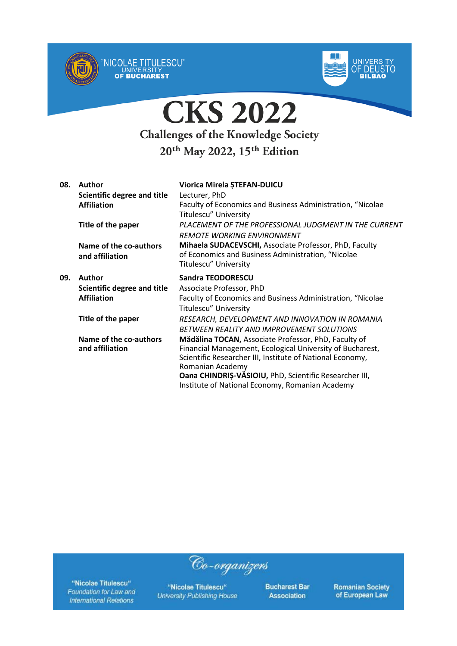



| 08. | Author                      | Viorica Mirela ȘTEFAN-DUICU                                |
|-----|-----------------------------|------------------------------------------------------------|
|     | Scientific degree and title | Lecturer, PhD                                              |
|     | <b>Affiliation</b>          | Faculty of Economics and Business Administration, "Nicolae |
|     |                             | Titulescu" University                                      |
|     | Title of the paper          | PLACEMENT OF THE PROFESSIONAL JUDGMENT IN THE CURRENT      |
|     |                             | <b>REMOTE WORKING ENVIRONMENT</b>                          |
|     | Name of the co-authors      | Mihaela SUDACEVSCHI, Associate Professor, PhD, Faculty     |
|     | and affiliation             | of Economics and Business Administration, "Nicolae         |
|     |                             | Titulescu" University                                      |
| 09. | Author                      | <b>Sandra TEODORESCU</b>                                   |
|     | Scientific degree and title | Associate Professor, PhD                                   |
|     | <b>Affiliation</b>          | Faculty of Economics and Business Administration, "Nicolae |
|     |                             | Titulescu" University                                      |
|     | Title of the paper          | RESEARCH, DEVELOPMENT AND INNOVATION IN ROMANIA            |
|     |                             | BETWEEN REALITY AND IMPROVEMENT SOLUTIONS                  |
|     | Name of the co-authors      | Mădălina TOCAN, Associate Professor, PhD, Faculty of       |
|     | and affiliation             | Financial Management, Ecological University of Bucharest,  |
|     |                             | Scientific Researcher III, Institute of National Economy,  |
|     |                             | Romanian Academy                                           |
|     |                             | Oana CHINDRIS-VĂSIOIU, PhD, Scientific Researcher III,     |
|     |                             | Institute of National Economy, Romanian Academy            |

"Nicolae Titulescu" Foundation for Law and **International Relations** 

"Nicolae Titulescu" **University Publishing House** 

Co-organizers

**Bucharest Bar Association**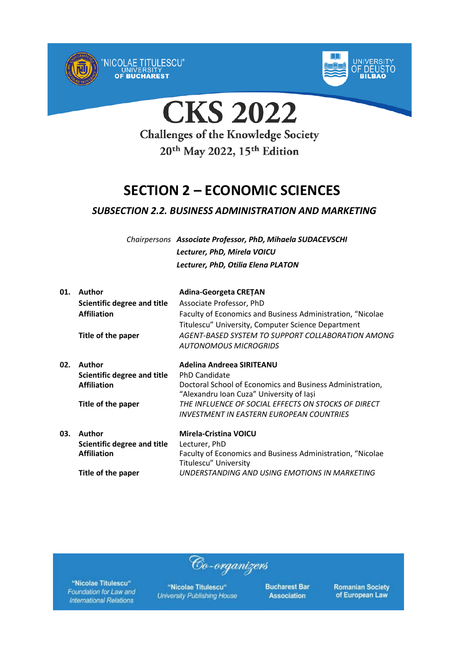



**CKS 2022** 

**Challenges of the Knowledge Society** 20<sup>th</sup> May 2022, 15<sup>th</sup> Edition

## **SECTION 2 – ECONOMIC SCIENCES**

### *SUBSECTION 2.2. BUSINESS ADMINISTRATION AND MARKETING*

*Chairpersons Associate Professor, PhD, Mihaela SUDACEVSCHI Lecturer, PhD, Mirela VOICU Lecturer, PhD, Otilia Elena PLATON*

| 01. | Author<br>Scientific degree and title<br><b>Affiliation</b> | <b>Adina-Georgeta CRETAN</b><br>Associate Professor, PhD<br>Faculty of Economics and Business Administration, "Nicolae<br>Titulescu" University, Computer Science Department |
|-----|-------------------------------------------------------------|------------------------------------------------------------------------------------------------------------------------------------------------------------------------------|
|     | Title of the paper                                          | AGENT-BASED SYSTEM TO SUPPORT COLLABORATION AMONG<br>AUTONOMOUS MICROGRIDS                                                                                                   |
| 02. | Author                                                      | Adelina Andreea SIRITEANU                                                                                                                                                    |
|     | Scientific degree and title                                 | <b>PhD Candidate</b>                                                                                                                                                         |
|     | <b>Affiliation</b>                                          | Doctoral School of Economics and Business Administration,<br>"Alexandru Ioan Cuza" University of Iași                                                                        |
|     | Title of the paper                                          | THE INFLUENCE OF SOCIAL EFFECTS ON STOCKS OF DIRECT<br>INVESTMENT IN EASTERN EUROPEAN COUNTRIES                                                                              |
| 03. | Author                                                      | Mirela-Cristina VOICU                                                                                                                                                        |
|     | Scientific degree and title                                 | Lecturer, PhD                                                                                                                                                                |
|     | <b>Affiliation</b>                                          | Faculty of Economics and Business Administration, "Nicolae<br>Titulescu" University                                                                                          |
|     | Title of the paper                                          | UNDERSTANDING AND USING EMOTIONS IN MARKETING                                                                                                                                |

"Nicolae Titulescu" Foundation for Law and **International Relations** 

"Nicolae Titulescu" **University Publishing House** 

Co-organizers

**Bucharest Bar Association**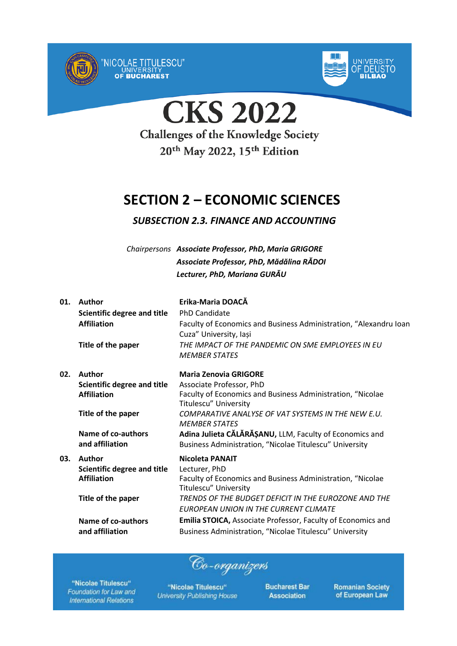



**CKS 2022 Challenges of the Knowledge Society** 20<sup>th</sup> May 2022, 15<sup>th</sup> Edition

## **SECTION 2 – ECONOMIC SCIENCES**

### *SUBSECTION 2.3. FINANCE AND ACCOUNTING*

*Chairpersons Associate Professor, PhD, Maria GRIGORE Associate Professor, PhD, Mădălina RĂDOI Lecturer, PhD, Mariana GURĂU*

| 01. | Author                             | Erika-Maria DOACĂ                                                                   |
|-----|------------------------------------|-------------------------------------------------------------------------------------|
|     | <b>Scientific degree and title</b> | <b>PhD Candidate</b>                                                                |
|     | <b>Affiliation</b>                 | Faculty of Economics and Business Administration, "Alexandru Ioan                   |
|     |                                    | Cuza" University, Iași                                                              |
|     | Title of the paper                 | THE IMPACT OF THE PANDEMIC ON SME EMPLOYEES IN EU                                   |
|     |                                    | <b>MEMBER STATES</b>                                                                |
| 02. | Author                             | <b>Maria Zenovia GRIGORE</b>                                                        |
|     | Scientific degree and title        | Associate Professor, PhD                                                            |
|     | <b>Affiliation</b>                 | Faculty of Economics and Business Administration, "Nicolae                          |
|     |                                    | Titulescu" University                                                               |
|     | Title of the paper                 | COMPARATIVE ANALYSE OF VAT SYSTEMS IN THE NEW E.U.                                  |
|     |                                    | <b>MEMBER STATES</b>                                                                |
|     | Name of co-authors                 | Adina Julieta CĂLĂRĂȘANU, LLM, Faculty of Economics and                             |
|     | and affiliation                    | Business Administration, "Nicolae Titulescu" University                             |
| 03. | Author                             | <b>Nicoleta PANAIT</b>                                                              |
|     | Scientific degree and title        | Lecturer, PhD                                                                       |
|     | <b>Affiliation</b>                 | Faculty of Economics and Business Administration, "Nicolae<br>Titulescu" University |
|     | Title of the paper                 | TRENDS OF THE BUDGET DEFICIT IN THE EUROZONE AND THE                                |
|     |                                    |                                                                                     |
|     |                                    | EUROPEAN UNION IN THE CURRENT CLIMATE                                               |
|     | Name of co-authors                 | <b>Emilia STOICA, Associate Professor, Faculty of Economics and</b>                 |
|     | and affiliation                    | Business Administration, "Nicolae Titulescu" University                             |

Co-organizers

"Nicolae Titulescu" Foundation for Law and **International Relations** 

"Nicolae Titulescu" **University Publishing House**  **Bucharest Bar Association**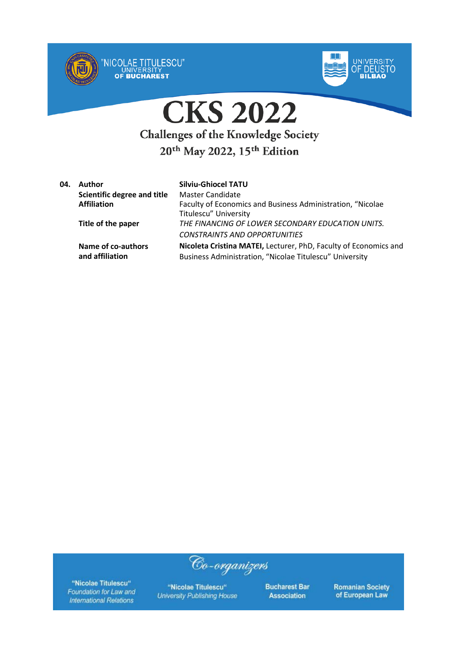



| 04. | Author                      | <b>Silviu-Ghiocel TATU</b>                                       |
|-----|-----------------------------|------------------------------------------------------------------|
|     | Scientific degree and title | Master Candidate                                                 |
|     | <b>Affiliation</b>          | Faculty of Economics and Business Administration, "Nicolae       |
|     |                             | Titulescu" University                                            |
|     | Title of the paper          | THE FINANCING OF LOWER SECONDARY EDUCATION UNITS.                |
|     |                             | <b>CONSTRAINTS AND OPPORTUNITIES</b>                             |
|     | Name of co-authors          | Nicoleta Cristina MATEI, Lecturer, PhD, Faculty of Economics and |
|     | and affiliation             | Business Administration, "Nicolae Titulescu" University          |

Co-organizers

"Nicolae Titulescu" Foundation for Law and **International Relations** 

"Nicolae Titulescu" **University Publishing House**  **Bucharest Bar Association**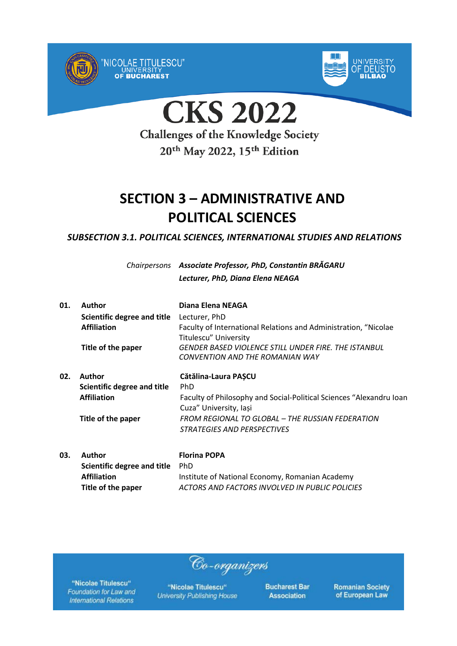



**CKS 2022** 

**Challenges of the Knowledge Society** 20<sup>th</sup> May 2022, 15<sup>th</sup> Edition

## **SECTION 3 – ADMINISTRATIVE AND POLITICAL SCIENCES**

*SUBSECTION 3.1. POLITICAL SCIENCES, INTERNATIONAL STUDIES AND RELATIONS*

*Chairpersons Associate Professor, PhD, Constantin BRĂGARU Lecturer, PhD, Diana Elena NEAGA*

| 01. | Author                      | Diana Elena NEAGA                                                                             |
|-----|-----------------------------|-----------------------------------------------------------------------------------------------|
|     | Scientific degree and title | Lecturer, PhD                                                                                 |
|     | <b>Affiliation</b>          | Faculty of International Relations and Administration, "Nicolae<br>Titulescu" University      |
|     | Title of the paper          | GENDER BASED VIOLENCE STILL UNDER FIRE. THE ISTANBUL<br>CONVENTION AND THE ROMANIAN WAY       |
| 02. | Author                      | Cătălina-Laura PASCU                                                                          |
|     | Scientific degree and title | <b>PhD</b>                                                                                    |
|     | <b>Affiliation</b>          | Faculty of Philosophy and Social-Political Sciences "Alexandru Ioan<br>Cuza" University, Iași |
|     | Title of the paper          | FROM REGIONAL TO GLOBAL - THE RUSSIAN FEDERATION                                              |
|     |                             | <i>STRATEGIES AND PERSPECTIVES</i>                                                            |
|     |                             |                                                                                               |

**03. Author Florina POPA Scientific degree and title** PhD Affiliation **Institute of National Economy, Romanian Academy Title of the paper** *ACTORS AND FACTORS INVOLVED IN PUBLIC POLICIES*

Co-organizers

"Nicolae Titulescu" Foundation for Law and **International Relations** 

"Nicolae Titulescu" **University Publishing House**  **Bucharest Bar Association**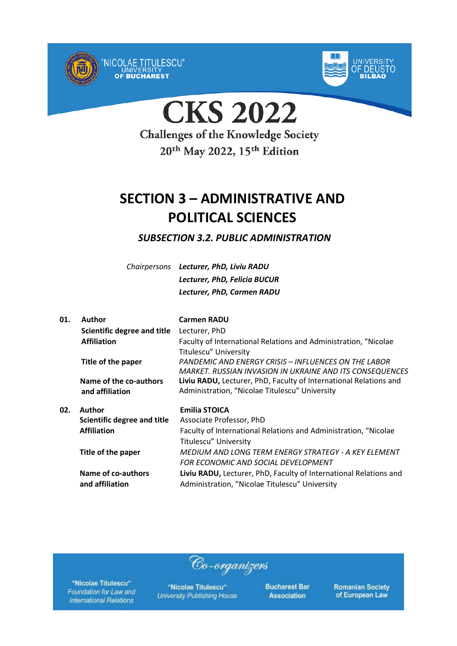



**CKS 2022** 

**Challenges of the Knowledge Society** 20<sup>th</sup> May 2022, 15<sup>th</sup> Edition

## **SECTION 3 – ADMINISTRATIVE AND POLITICAL SCIENCES**

*SUBSECTION 3.2. PUBLIC ADMINISTRATION*

*Chairpersons Lecturer, PhD, Liviu RADU Lecturer, PhD, Felicia BUCUR Lecturer, PhD, Carmen RADU*

| 01. | <b>Author</b>               | <b>Carmen RADU</b>                                                |
|-----|-----------------------------|-------------------------------------------------------------------|
|     | Scientific degree and title | Lecturer, PhD                                                     |
|     | <b>Affiliation</b>          | Faculty of International Relations and Administration, "Nicolae   |
|     |                             | <b>Titulescu" University</b>                                      |
|     | Title of the paper          | PANDEMIC AND ENERGY CRISIS - INFLUENCES ON THE LABOR              |
|     |                             | MARKET. RUSSIAN INVASION IN UKRAINE AND ITS CONSEQUENCES          |
|     | Name of the co-authors      | Liviu RADU, Lecturer, PhD, Faculty of International Relations and |
|     | and affiliation             | Administration, "Nicolae Titulescu" University                    |
| 02. | Author                      | <b>Emilia STOICA</b>                                              |
|     | Scientific degree and title | Associate Professor, PhD                                          |
|     | <b>Affiliation</b>          | Faculty of International Relations and Administration, "Nicolae   |
|     |                             | Titulescu" University                                             |
|     | Title of the paper          | MEDIUM AND LONG TERM ENERGY STRATEGY - A KEY ELEMENT              |
|     |                             | FOR ECONOMIC AND SOCIAL DEVELOPMENT                               |
|     | Name of co-authors          | Liviu RADU, Lecturer, PhD, Faculty of International Relations and |
|     | and affiliation             | Administration, "Nicolae Titulescu" University                    |
|     |                             |                                                                   |

"Nicolae Titulescu" Foundation for Law and **International Relations** 

"Nicolae Titulescu" **University Publishing House** 

Co-organizers

**Bucharest Bar Association**